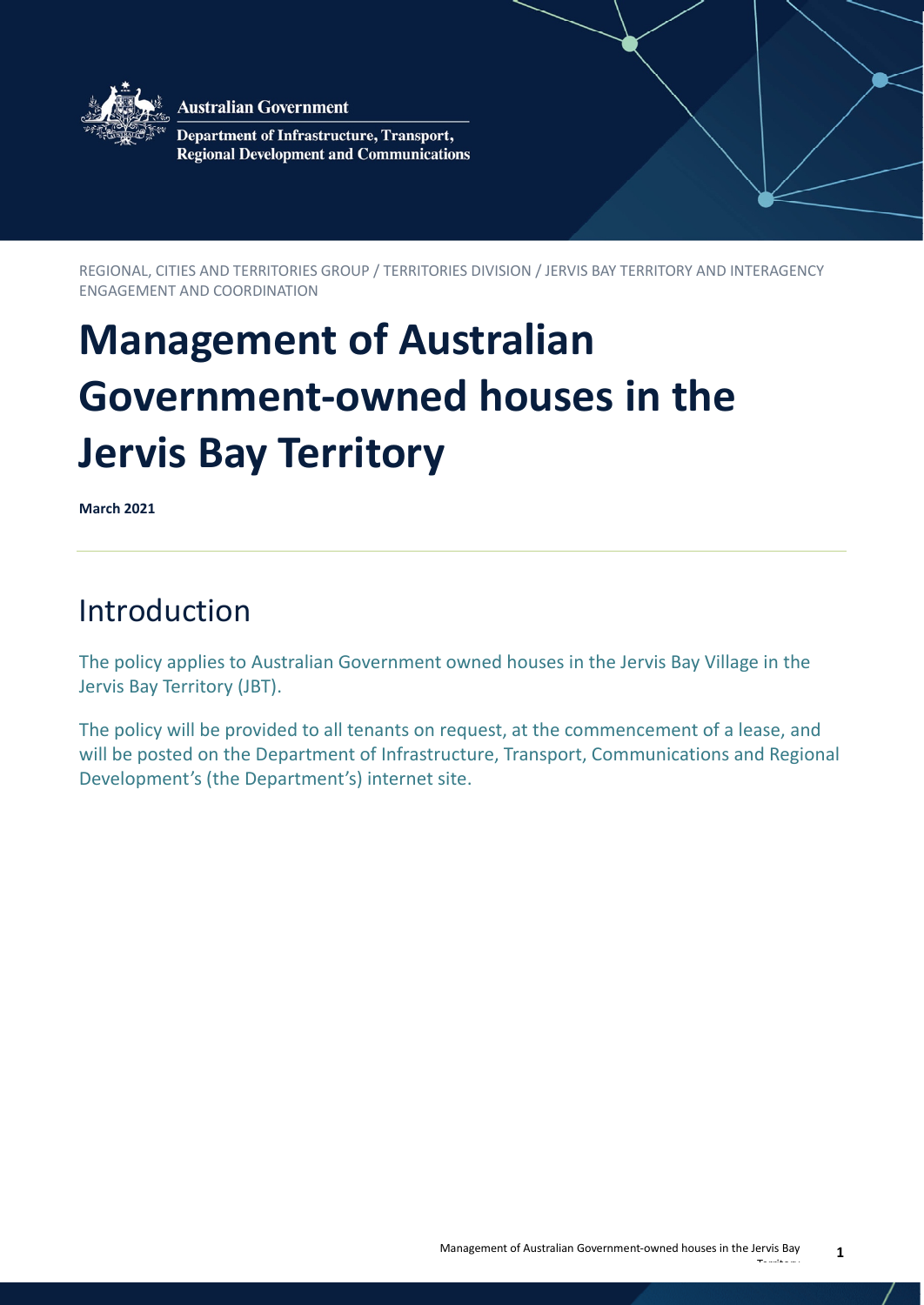

**Australian Government** 

Department of Infrastructure, Transport, **Regional Development and Communications** 

REGIONAL, CITIES AND TERRITORIES GROUP / TERRITORIES DIVISION / JERVIS BAY TERRITORY AND INTERAGENCY ENGAGEMENT AND COORDINATION

# **Management of Australian Government-owned houses in the Jervis Bay Territory**

**March 2021**

# Introduction

The policy applies to Australian Government owned houses in the Jervis Bay Village in the Jervis Bay Territory (JBT).

The policy will be provided to all tenants on request, at the commencement of a lease, and will be posted on the Department of Infrastructure, Transport, Communications and Regional Development's (the Department's) internet site.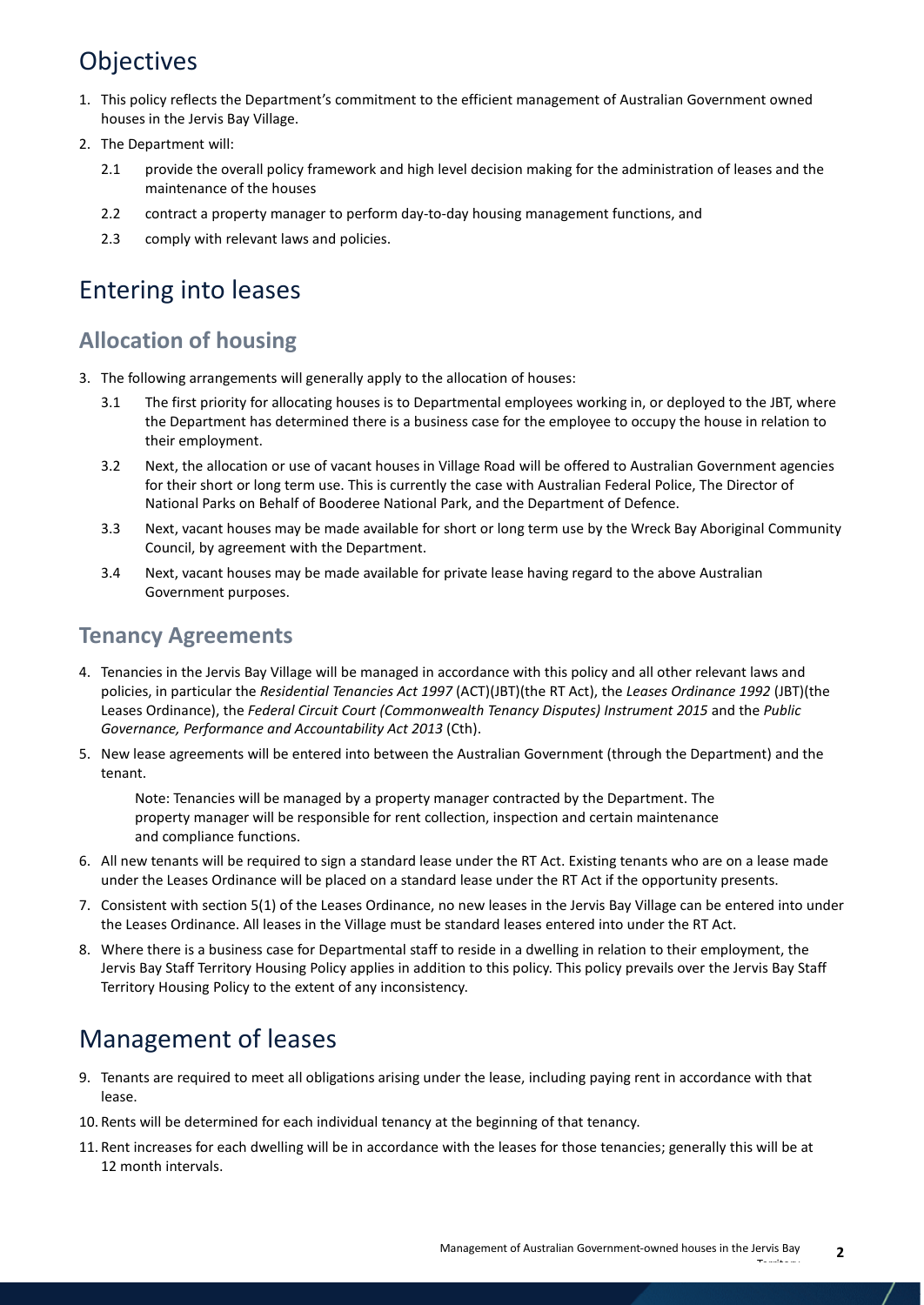# **Objectives**

- 1. This policy reflects the Department's commitment to the efficient management of Australian Government owned houses in the Jervis Bay Village.
- 2. The Department will:
	- 2.1 provide the overall policy framework and high level decision making for the administration of leases and the maintenance of the houses
	- 2.2 contract a property manager to perform day-to-day housing management functions, and
	- 2.3 comply with relevant laws and policies.

### Entering into leases

### **Allocation of housing**

- 3. The following arrangements will generally apply to the allocation of houses:
	- 3.1 The first priority for allocating houses is to Departmental employees working in, or deployed to the JBT, where the Department has determined there is a business case for the employee to occupy the house in relation to their employment.
	- 3.2 Next, the allocation or use of vacant houses in Village Road will be offered to Australian Government agencies for their short or long term use. This is currently the case with Australian Federal Police, The Director of National Parks on Behalf of Booderee National Park, and the Department of Defence.
	- 3.3 Next, vacant houses may be made available for short or long term use by the Wreck Bay Aboriginal Community Council, by agreement with the Department.
	- 3.4 Next, vacant houses may be made available for private lease having regard to the above Australian Government purposes.

#### **Tenancy Agreements**

- 4. Tenancies in the Jervis Bay Village will be managed in accordance with this policy and all other relevant laws and policies, in particular the *Residential Tenancies Act 1997* (ACT)(JBT)(the RT Act), the *Leases Ordinance 1992* (JBT)(the Leases Ordinance), the *Federal Circuit Court (Commonwealth Tenancy Disputes) Instrument 2015* and the *Public Governance, Performance and Accountability Act 2013* (Cth).
- 5. New lease agreements will be entered into between the Australian Government (through the Department) and the tenant.

Note: Tenancies will be managed by a property manager contracted by the Department. The property manager will be responsible for rent collection, inspection and certain maintenance and compliance functions.

- 6. All new tenants will be required to sign a standard lease under the RT Act. Existing tenants who are on a lease made under the Leases Ordinance will be placed on a standard lease under the RT Act if the opportunity presents.
- 7. Consistent with section 5(1) of the Leases Ordinance, no new leases in the Jervis Bay Village can be entered into under the Leases Ordinance. All leases in the Village must be standard leases entered into under the RT Act.
- 8. Where there is a business case for Departmental staff to reside in a dwelling in relation to their employment, the Jervis Bay Staff Territory Housing Policy applies in addition to this policy. This policy prevails over the Jervis Bay Staff Territory Housing Policy to the extent of any inconsistency.

# Management of leases

- 9. Tenants are required to meet all obligations arising under the lease, including paying rent in accordance with that lease.
- 10. Rents will be determined for each individual tenancy at the beginning of that tenancy.
- 11. Rent increases for each dwelling will be in accordance with the leases for those tenancies; generally this will be at 12 month intervals.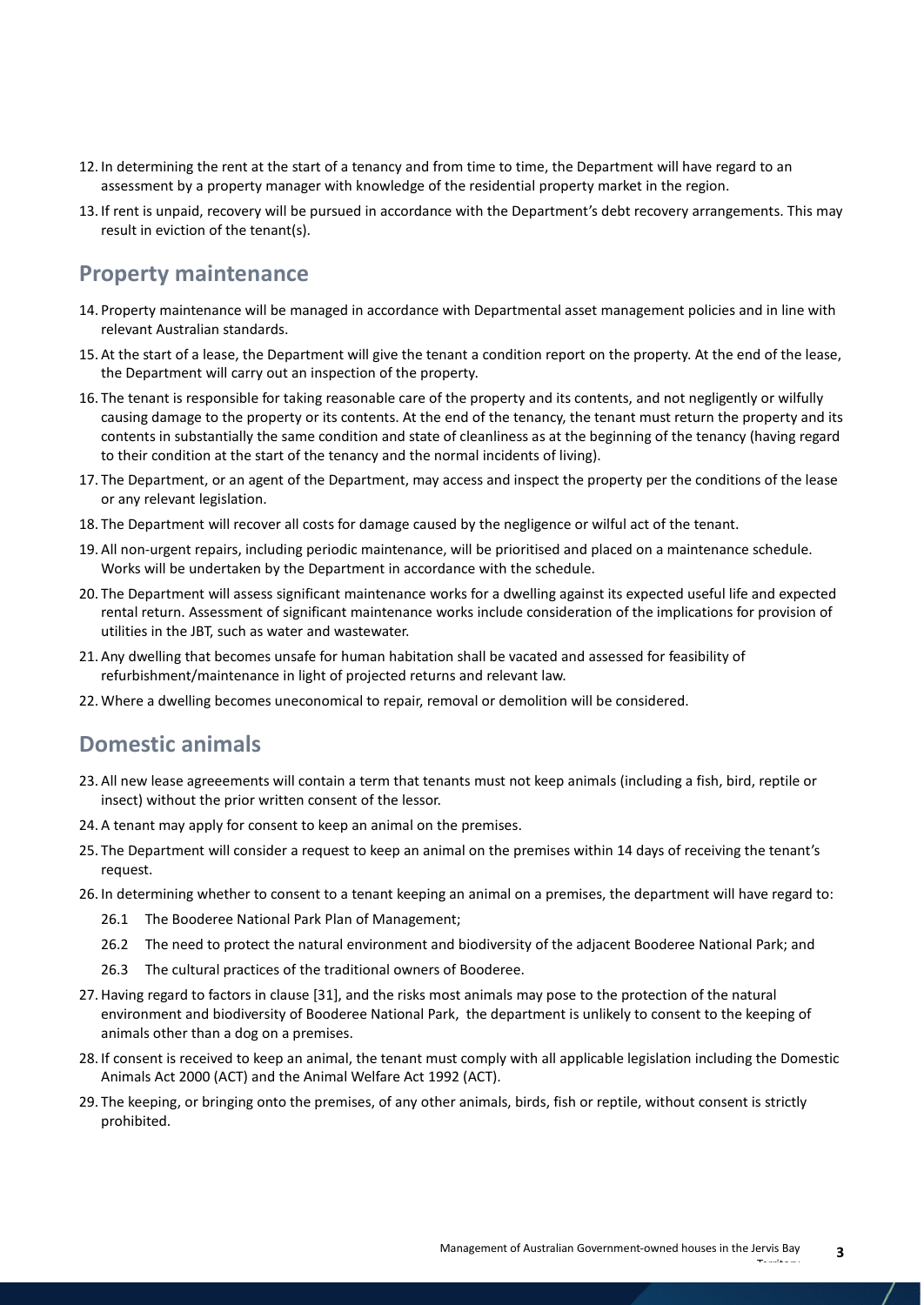- 12. In determining the rent at the start of a tenancy and from time to time, the Department will have regard to an assessment by a property manager with knowledge of the residential property market in the region.
- 13. If rent is unpaid, recovery will be pursued in accordance with the Department's debt recovery arrangements. This may result in eviction of the tenant(s).

#### **Property maintenance**

- 14. Property maintenance will be managed in accordance with Departmental asset management policies and in line with relevant Australian standards.
- 15. At the start of a lease, the Department will give the tenant a condition report on the property. At the end of the lease, the Department will carry out an inspection of the property.
- 16. The tenant is responsible for taking reasonable care of the property and its contents, and not negligently or wilfully causing damage to the property or its contents. At the end of the tenancy, the tenant must return the property and its contents in substantially the same condition and state of cleanliness as at the beginning of the tenancy (having regard to their condition at the start of the tenancy and the normal incidents of living).
- 17. The Department, or an agent of the Department, may access and inspect the property per the conditions of the lease or any relevant legislation.
- 18. The Department will recover all costs for damage caused by the negligence or wilful act of the tenant.
- 19. All non-urgent repairs, including periodic maintenance, will be prioritised and placed on a maintenance schedule. Works will be undertaken by the Department in accordance with the schedule.
- 20. The Department will assess significant maintenance works for a dwelling against its expected useful life and expected rental return. Assessment of significant maintenance works include consideration of the implications for provision of utilities in the JBT, such as water and wastewater.
- 21. Any dwelling that becomes unsafe for human habitation shall be vacated and assessed for feasibility of refurbishment/maintenance in light of projected returns and relevant law.
- 22. Where a dwelling becomes uneconomical to repair, removal or demolition will be considered.

#### **Domestic animals**

- 23. All new lease agreeements will contain a term that tenants must not keep animals (including a fish, bird, reptile or insect) without the prior written consent of the lessor.
- 24. A tenant may apply for consent to keep an animal on the premises.
- 25. The Department will consider a request to keep an animal on the premises within 14 days of receiving the tenant's request.
- 26. In determining whether to consent to a tenant keeping an animal on a premises, the department will have regard to:
	- 26.1 The Booderee National Park Plan of Management;
	- 26.2 The need to protect the natural environment and biodiversity of the adjacent Booderee National Park; and
	- 26.3 The cultural practices of the traditional owners of Booderee.
- 27. Having regard to factors in clause [31], and the risks most animals may pose to the protection of the natural environment and biodiversity of Booderee National Park, the department is unlikely to consent to the keeping of animals other than a dog on a premises.
- 28. If consent is received to keep an animal, the tenant must comply with all applicable legislation including the Domestic Animals Act 2000 (ACT) and the Animal Welfare Act 1992 (ACT).
- 29. The keeping, or bringing onto the premises, of any other animals, birds, fish or reptile, without consent is strictly prohibited.